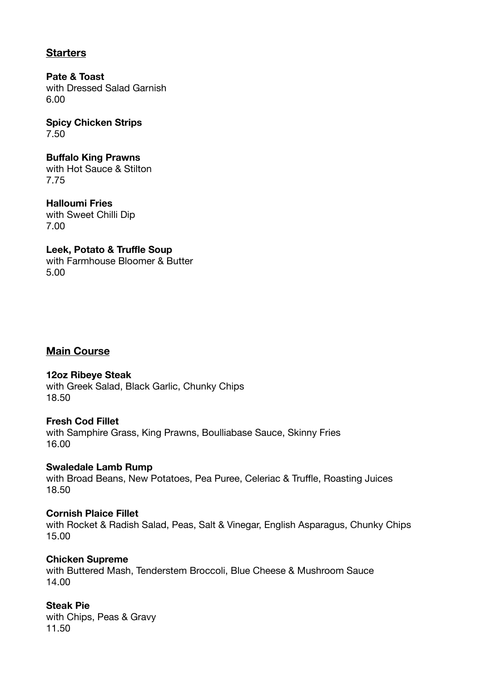# **Starters**

**Pate & Toast**  with Dressed Salad Garnish 6.00

**Spicy Chicken Strips**  7.50

**Buffalo King Prawns**  with Hot Sauce & Stilton 7.75

**Halloumi Fries**  with Sweet Chilli Dip 7.00

**Leek, Potato & Truffle Soup**  with Farmhouse Bloomer & Butter 5.00

## **Main Course**

**12oz Ribeye Steak** 

with Greek Salad, Black Garlic, Chunky Chips 18.50

**Fresh Cod Fillet**  with Samphire Grass, King Prawns, Boulliabase Sauce, Skinny Fries 16.00

**Swaledale Lamb Rump** 

with Broad Beans, New Potatoes, Pea Puree, Celeriac & Truffle, Roasting Juices 18.50

## **Cornish Plaice Fillet**

with Rocket & Radish Salad, Peas, Salt & Vinegar, English Asparagus, Chunky Chips 15.00

#### **Chicken Supreme**

with Buttered Mash, Tenderstem Broccoli, Blue Cheese & Mushroom Sauce 14.00

**Steak Pie**  with Chips, Peas & Gravy 11.50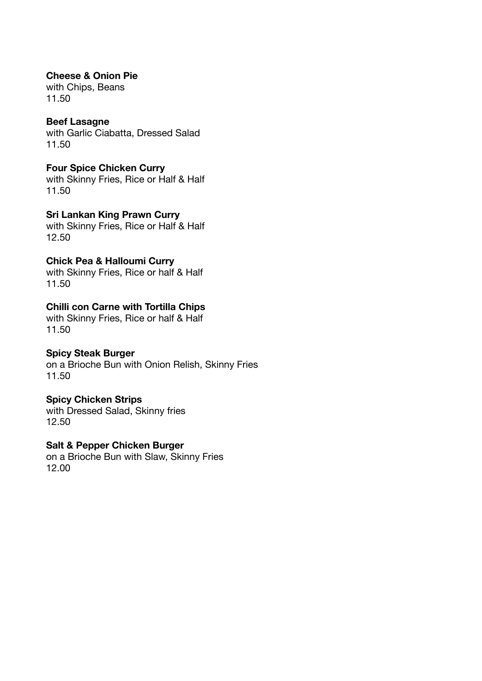**Cheese & Onion Pie**  with Chips, Beans 11.50

### **Beef Lasagne**

with Garlic Ciabatta, Dressed Salad 11.50

**Four Spice Chicken Curry**  with Skinny Fries, Rice or Half & Half 11.50

**Sri Lankan King Prawn Curry**  with Skinny Fries, Rice or Half & Half 12.50

## **Chick Pea & Halloumi Curry**

with Skinny Fries, Rice or half & Half 11.50

### **Chilli con Carne with Tortilla Chips**

with Skinny Fries, Rice or half & Half 11.50

#### **Spicy Steak Burger**

on a Brioche Bun with Onion Relish, Skinny Fries 11.50

#### **Spicy Chicken Strips**

with Dressed Salad, Skinny fries 12.50

#### **Salt & Pepper Chicken Burger**

on a Brioche Bun with Slaw, Skinny Fries 12.00